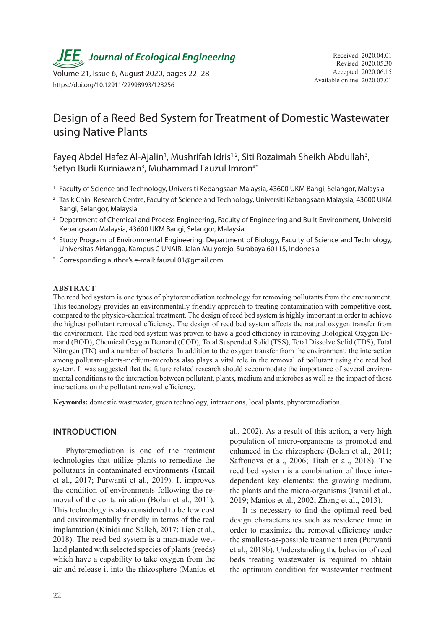

Available online: 2020.07.01 Volume 21, Issue 6, August 2020, pages 22–28 https://doi.org/10.12911/22998993/123256

# Design of a Reed Bed System for Treatment of Domestic Wastewater using Native Plants

Fayeq Abdel Hafez Al-Ajalin<sup>1</sup>, Mushrifah Idris<sup>1,2</sup>, Siti Rozaimah Sheikh Abdullah<sup>3</sup>, Setyo Budi Kurniawan<sup>3</sup>, Muhammad Fauzul Imron<sup>4\*</sup>

- <sup>1</sup> Faculty of Science and Technology, Universiti Kebangsaan Malaysia, 43600 UKM Bangi, Selangor, Malaysia
- <sup>2</sup> Tasik Chini Research Centre, Faculty of Science and Technology, Universiti Kebangsaan Malaysia, 43600 UKM Bangi, Selangor, Malaysia
- <sup>3</sup> Department of Chemical and Process Engineering, Faculty of Engineering and Built Environment, Universiti Kebangsaan Malaysia, 43600 UKM Bangi, Selangor, Malaysia
- <sup>4</sup> Study Program of Environmental Engineering, Department of Biology, Faculty of Science and Technology, Universitas Airlangga, Kampus C UNAIR, Jalan Mulyorejo, Surabaya 60115, Indonesia
- \* Corresponding author's e-mail: fauzul.01@gmail.com

#### **ABSTRACT**

The reed bed system is one types of phytoremediation technology for removing pollutants from the environment. This technology provides an environmentally friendly approach to treating contamination with competitive cost, compared to the physico-chemical treatment. The design of reed bed system is highly important in order to achieve the highest pollutant removal efficiency. The design of reed bed system affects the natural oxygen transfer from the environment. The reed bed system was proven to have a good efficiency in removing Biological Oxygen Demand (BOD), Chemical Oxygen Demand (COD), Total Suspended Solid (TSS), Total Dissolve Solid (TDS), Total Nitrogen (TN) and a number of bacteria. In addition to the oxygen transfer from the environment, the interaction among pollutant-plants-medium-microbes also plays a vital role in the removal of pollutant using the reed bed system. It was suggested that the future related research should accommodate the importance of several environmental conditions to the interaction between pollutant, plants, medium and microbes as well as the impact of those interactions on the pollutant removal efficiency.

**Keywords:** domestic wastewater, green technology, interactions, local plants, phytoremediation.

### **INTRODUCTION**

Phytoremediation is one of the treatment technologies that utilize plants to remediate the pollutants in contaminated environments (Ismail et al., 2017; Purwanti et al., 2019). It improves the condition of environments following the removal of the contamination (Bolan et al., 2011). This technology is also considered to be low cost and environmentally friendly in terms of the real implantation (Kinidi and Salleh, 2017; Tien et al., 2018). The reed bed system is a man-made wetland planted with selected species of plants (reeds) which have a capability to take oxygen from the air and release it into the rhizosphere (Manios et

al., 2002). As a result of this action, a very high population of micro-organisms is promoted and enhanced in the rhizosphere (Bolan et al., 2011; Safronova et al., 2006; Titah et al., 2018). The reed bed system is a combination of three interdependent key elements: the growing medium, the plants and the micro-organisms (Ismail et al., 2019; Manios et al., 2002; Zhang et al., 2013).

It is necessary to find the optimal reed bed design characteristics such as residence time in order to maximize the removal efficiency under the smallest-as-possible treatment area (Purwanti et al., 2018b). Understanding the behavior of reed beds treating wastewater is required to obtain the optimum condition for wastewater treatment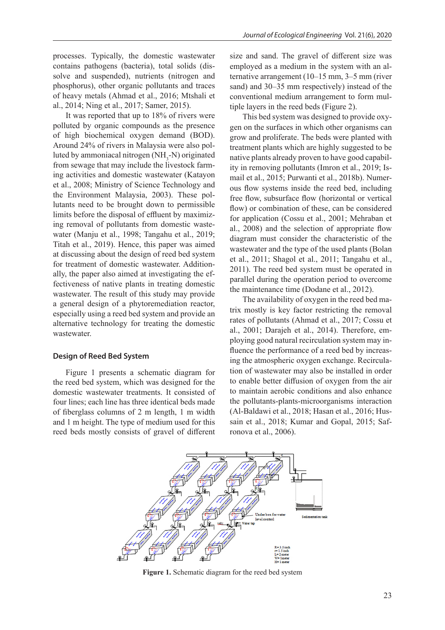processes. Typically, the domestic wastewater contains pathogens (bacteria), total solids (dissolve and suspended), nutrients (nitrogen and phosphorus), other organic pollutants and traces of heavy metals (Ahmad et al., 2016; Mtshali et al., 2014; Ning et al., 2017; Samer, 2015).

It was reported that up to 18% of rivers were polluted by organic compounds as the presence of high biochemical oxygen demand (BOD). Around 24% of rivers in Malaysia were also polluted by ammoniacal nitrogen  $(NH_3-N)$  originated from sewage that may include the livestock farming activities and domestic wastewater (Katayon et al., 2008; Ministry of Science Technology and the Environment Malaysia, 2003). These pollutants need to be brought down to permissible limits before the disposal of effluent by maximizing removal of pollutants from domestic wastewater (Manju et al., 1998; Tangahu et al., 2019; Titah et al., 2019). Hence, this paper was aimed at discussing about the design of reed bed system for treatment of domestic wastewater. Additionally, the paper also aimed at investigating the effectiveness of native plants in treating domestic wastewater. The result of this study may provide a general design of a phytoremediation reactor, especially using a reed bed system and provide an alternative technology for treating the domestic wastewater.

#### **Design of Reed Bed System**

Figure 1 presents a schematic diagram for the reed bed system, which was designed for the domestic wastewater treatments. It consisted of four lines; each line has three identical beds made of fiberglass columns of 2 m length, 1 m width and 1 m height. The type of medium used for this reed beds mostly consists of gravel of different size and sand. The gravel of different size was employed as a medium in the system with an alternative arrangement (10–15 mm, 3–5 mm (river sand) and 30–35 mm respectively) instead of the conventional medium arrangement to form multiple layers in the reed beds (Figure 2).

This bed system was designed to provide oxygen on the surfaces in which other organisms can grow and proliferate. The beds were planted with treatment plants which are highly suggested to be native plants already proven to have good capability in removing pollutants (Imron et al., 2019; Ismail et al., 2015; Purwanti et al., 2018b). Numerous flow systems inside the reed bed, including free flow, subsurface flow (horizontal or vertical flow) or combination of these, can be considered for application (Cossu et al., 2001; Mehraban et al., 2008) and the selection of appropriate flow diagram must consider the characteristic of the wastewater and the type of the used plants (Bolan et al., 2011; Shagol et al., 2011; Tangahu et al., 2011). The reed bed system must be operated in parallel during the operation period to overcome the maintenance time (Dodane et al., 2012).

The availability of oxygen in the reed bed matrix mostly is key factor restricting the removal rates of pollutants (Ahmad et al., 2017; Cossu et al., 2001; Darajeh et al., 2014). Therefore, employing good natural recirculation system may influence the performance of a reed bed by increasing the atmospheric oxygen exchange. Recirculation of wastewater may also be installed in order to enable better diffusion of oxygen from the air to maintain aerobic conditions and also enhance the pollutants-plants-microorganisms interaction (Al-Baldawi et al., 2018; Hasan et al., 2016; Hussain et al., 2018; Kumar and Gopal, 2015; Safronova et al., 2006).



**Figure 1.** Schematic diagram for the reed bed system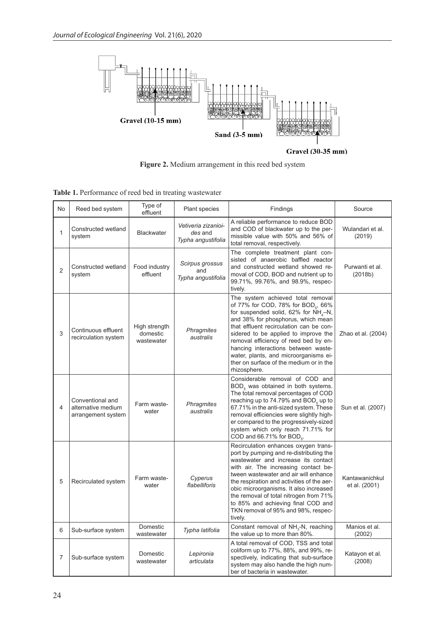

Gravel (30-35 mm)

**Figure 2.** Medium arrangement in this reed bed system

**Table 1.** Performance of reed bed in treating wastewater

| No             | Reed bed system                                              | Type of<br>effluent                     | Plant species                                        | Findings                                                                                                                                                                                                                                                                                                                                                                                                                                    | Source                          |
|----------------|--------------------------------------------------------------|-----------------------------------------|------------------------------------------------------|---------------------------------------------------------------------------------------------------------------------------------------------------------------------------------------------------------------------------------------------------------------------------------------------------------------------------------------------------------------------------------------------------------------------------------------------|---------------------------------|
| 1              | Constructed wetland<br>system                                | <b>Blackwater</b>                       | Vetiveria zizanioi-<br>des and<br>Typha angustifolia | A reliable performance to reduce BOD<br>and COD of blackwater up to the per-<br>missible value with 50% and 56% of<br>total removal, respectively.                                                                                                                                                                                                                                                                                          | Wulandari et al.<br>(2019)      |
| $\overline{2}$ | Constructed wetland<br>system                                | Food industry<br>effluent               | Scirpus grossus<br>and<br>Typha angustifolia         | The complete treatment plant con-<br>sisted of anaerobic baffled reactor<br>and constructed wetland showed re-<br>moval of COD, BOD and nutrient up to<br>99.71%, 99.76%, and 98.9%, respec-<br>tively.                                                                                                                                                                                                                                     | Purwanti et al.<br>(2018b)      |
| 3              | Continuous effluent<br>recirculation system                  | High strength<br>domestic<br>wastewater | Phragmites<br>australis                              | The system achieved total removal<br>of 77% for COD, 78% for BOD <sub>5</sub> , 66%<br>for suspended solid, 62% for $NH_A-N$ ,<br>and 38% for phosphorus, which mean<br>that effluent recirculation can be con-<br>sidered to be applied to improve the<br>removal efficiency of reed bed by en-<br>hancing interactions between waste-<br>water, plants, and microorganisms ei-<br>ther on surface of the medium or in the<br>rhizosphere. | Zhao et al. (2004)              |
| 4              | Conventional and<br>alternative medium<br>arrangement system | Farm waste-<br>water                    | <b>Phragmites</b><br>australis                       | Considerable removal of COD and<br>BOD <sub>5</sub> was obtained in both systems.<br>The total removal percentages of COD<br>reaching up to 74.79% and BOD <sub>s</sub> up to<br>67.71% in the anti-sized system. These<br>removal efficiencies were slightly high-<br>er compared to the progressively-sized<br>system which only reach 71.71% for<br>COD and 66.71% for BOD <sub>5</sub> .                                                | Sun et al. (2007)               |
| 5              | Recirculated system                                          | Farm waste-<br>water                    | Cyperus<br>flabelliforis                             | Recirculation enhances oxygen trans-<br>port by pumping and re-distributing the<br>wastewater and increase its contact<br>with air. The increasing contact be-<br>tween wastewater and air will enhance<br>the respiration and activities of the aer-<br>obic microorganisms. It also increased<br>the removal of total nitrogen from 71%<br>to 85% and achieving final COD and<br>TKN removal of 95% and 98%, respec-<br>tively.           | Kantawanichkul<br>et al. (2001) |
| 6              | Sub-surface system                                           | Domestic<br>wastewater                  | Typha latifolia                                      | Constant removal of NH <sub>3</sub> -N, reaching<br>the value up to more than 80%.                                                                                                                                                                                                                                                                                                                                                          | Manios et al.<br>(2002)         |
| 7              | Sub-surface system                                           | Domestic<br>wastewater                  | Lepironia<br>articulata                              | A total removal of COD, TSS and total<br>coliform up to 77%, 88%, and 99%, re-<br>spectively, indicating that sub-surface<br>system may also handle the high num-<br>ber of bacteria in wastewater.                                                                                                                                                                                                                                         | Katayon et al.<br>(2008)        |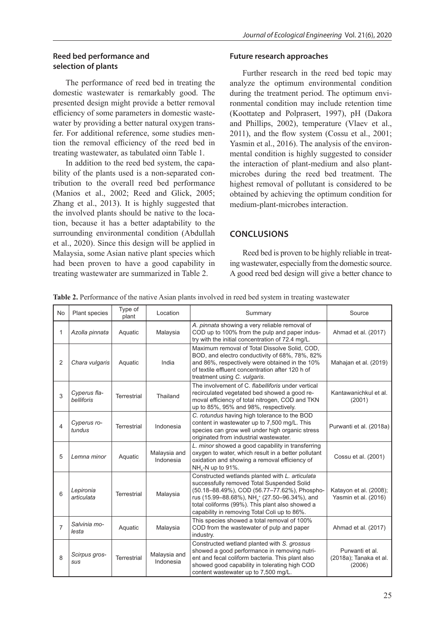#### **Reed bed performance and selection of plants**

The performance of reed bed in treating the domestic wastewater is remarkably good. The presented design might provide a better removal efficiency of some parameters in domestic wastewater by providing a better natural oxygen transfer. For additional reference, some studies mention the removal efficiency of the reed bed in treating wastewater, as tabulated oinn Table 1.

In addition to the reed bed system, the capability of the plants used is a non-separated contribution to the overall reed bed performance (Manios et al., 2002; Reed and Glick, 2005; Zhang et al., 2013). It is highly suggested that the involved plants should be native to the location, because it has a better adaptability to the surrounding environmental condition (Abdullah et al., 2020). Since this design will be applied in Malaysia, some Asian native plant species which had been proven to have a good capability in treating wastewater are summarized in Table 2.

#### **Future research approaches**

Further research in the reed bed topic may analyze the optimum environmental condition during the treatment period. The optimum environmental condition may include retention time (Koottatep and Polprasert, 1997), pH (Dakora and Phillips, 2002), temperature (Vlaev et al., 2011), and the flow system (Cossu et al., 2001; Yasmin et al., 2016). The analysis of the environmental condition is highly suggested to consider the interaction of plant-medium and also plantmicrobes during the reed bed treatment. The highest removal of pollutant is considered to be obtained by achieving the optimum condition for medium-plant-microbes interaction.

## **CONCLUSIONS**

Reed bed is proven to be highly reliable in treating wastewater, especially from the domestic source. A good reed bed design will give a better chance to

| <b>Table 2.</b> Performance of the native Asian plants involved in reed bed system in treating wastewater |  |  |  |
|-----------------------------------------------------------------------------------------------------------|--|--|--|

| No | Plant species               | Type of<br>plant   | Location                  | Summary                                                                                                                                                                                                                                                                                                                  | Source                                              |
|----|-----------------------------|--------------------|---------------------------|--------------------------------------------------------------------------------------------------------------------------------------------------------------------------------------------------------------------------------------------------------------------------------------------------------------------------|-----------------------------------------------------|
| 1  | Azolla pinnata              | Aquatic            | Malaysia                  | A. pinnata showing a very reliable removal of<br>COD up to 100% from the pulp and paper indus-<br>try with the initial concentration of 72.4 mg/L.                                                                                                                                                                       | Ahmad et al. (2017)                                 |
| 2  | Chara vulgaris              | Aquatic            | India                     | Maximum removal of Total Dissolve Solid, COD,<br>BOD, and electro conductivity of 68%, 78%, 82%<br>and 86%, respectively were obtained in the 10%<br>of textile effluent concentration after 120 h of<br>treatment using C. vulgaris.                                                                                    | Mahajan et al. (2019)                               |
| 3  | Cyperus fla-<br>belliforis  | Terrestrial        | Thailand                  | The involvement of C. flabelliforis under vertical<br>recirculated vegetated bed showed a good re-<br>moval efficiency of total nitrogen, COD and TKN<br>up to 85%, 95% and 98%, respectively.                                                                                                                           | Kantawanichkul et al.<br>(2001)                     |
| 4  | Cyperus ro-<br>tundus       | <b>Terrestrial</b> | Indonesia                 | C. rotundus having high tolerance to the BOD<br>content in wastewater up to 7,500 mg/L. This<br>species can grow well under high organic stress<br>originated from industrial wastewater.                                                                                                                                | Purwanti et al. (2018a)                             |
| 5  | Lemna minor                 | Aquatic            | Malaysia and<br>Indonesia | L. minor showed a good capability in transferring<br>oxygen to water, which result in a better pollutant<br>oxidation and showing a removal efficiency of<br>NH <sub>2</sub> -N up to 91%.                                                                                                                               | Cossu et al. (2001)                                 |
| 6  | Lepironia<br>articulata     | <b>Terrestrial</b> | Malaysia                  | Constructed wetlands planted with L. articulata<br>successfully removed Total Suspended Solid<br>(50.18-88.49%), COD (56.77-77.62%), Phospho-<br>rus (15.99–88.68%), NH <sub>4</sub> <sup>+</sup> (27.50–96.34%), and<br>total coliforms (99%). This plant also showed a<br>capability in removing Total Coli up to 86%. | Katayon et al. (2008);<br>Yasmin et al. (2016)      |
| 7  | Salvinia mo-<br>lesta       | Aquatic            | Malaysia                  | This species showed a total removal of 100%<br>COD from the wastewater of pulp and paper<br>industry.                                                                                                                                                                                                                    | Ahmad et al. (2017)                                 |
| 8  | Scirpus gros-<br><b>SUS</b> | <b>Terrestrial</b> | Malaysia and<br>Indonesia | Constructed wetland planted with S. grossus<br>showed a good performance in removing nutri-<br>ent and fecal coliform bacteria. This plant also<br>showed good capability in tolerating high COD<br>content wastewater up to 7,500 mg/L.                                                                                 | Purwanti et al.<br>(2018a); Tanaka et al.<br>(2006) |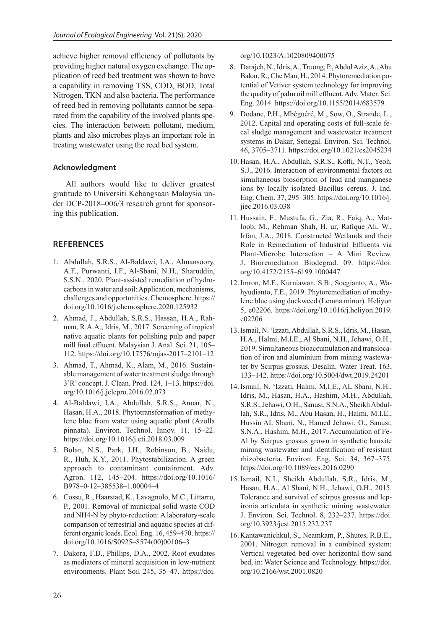achieve higher removal efficiency of pollutants by providing higher natural oxygen exchange. The application of reed bed treatment was shown to have a capability in removing TSS, COD, BOD, Total Nitrogen, TKN and also bacteria. The performance of reed bed in removing pollutants cannot be separated from the capability of the involved plants species. The interaction between pollutant, medium, plants and also microbes plays an important role in treating wastewater using the reed bed system.

## **Acknowledgment**

All authors would like to deliver greatest gratitude to Universiti Kebangsaan Malaysia under DCP-2018–006/3 research grant for sponsoring this publication.

## **REFERENCES**

- 1. Abdullah, S.R.S., Al-Baldawi, I.A., Almansoory, A.F., Purwanti, I.F., Al-Sbani, N.H., Sharuddin, S.S.N., 2020. Plant-assisted remediation of hydrocarbons in water and soil: Application, mechanisms, challenges and opportunities. Chemosphere. https:// doi.org/10.1016/j.chemosphere.2020.125932
- 2. Ahmad, J., Abdullah, S.R.S., Hassan, H.A., Rahman, R.A.A., Idris, M., 2017. Screening of tropical native aquatic plants for polishing pulp and paper mill final effluent. Malaysian J. Anal. Sci. 21, 105– 112. https://doi.org/10.17576/mjas-2017–2101–12
- 3. Ahmad, T., Ahmad, K., Alam, M., 2016. Sustainable management of water treatment sludge through 3'R' concept. J. Clean. Prod. 124, 1–13. https://doi. org/10.1016/j.jclepro.2016.02.073
- 4. Al-Baldawi, I.A., Abdullah, S.R.S., Anuar, N., Hasan, H.A., 2018. Phytotransformation of methylene blue from water using aquatic plant (Azolla pinnata). Environ. Technol. Innov. 11, 15–22. https://doi.org/10.1016/j.eti.2018.03.009
- 5. Bolan, N.S., Park, J.H., Robinson, B., Naidu, R., Huh, K.Y., 2011. Phytostabilization. A green approach to contaminant containment. Adv. Agron. 112, 145–204. https://doi.org/10.1016/ B978–0-12–385538–1.00004–4
- 6. Cossu, R., Haarstad, K., Lavagnolo, M.C., Littarru, P., 2001. Removal of municipal solid waste COD and NH4-N by phyto-reduction: A laboratory-scale comparison of terrestrial and aquatic species at different organic loads. Ecol. Eng. 16, 459–470. https:// doi.org/10.1016/S0925–8574(00)00106–3
- 7. Dakora, F.D., Phillips, D.A., 2002. Root exudates as mediators of mineral acquisition in low-nutrient environments. Plant Soil 245, 35–47. https://doi.

org/10.1023/A:1020809400075

- 8. Darajeh, N., Idris, A., Truong, P., Abdul Aziz, A., Abu Bakar, R., Che Man, H., 2014. Phytoremediation potential of Vetiver system technology for improving the quality of palm oil mill effluent. Adv. Mater. Sci. Eng. 2014. https://doi.org/10.1155/2014/683579
- 9. Dodane, P.H., Mbéguéré, M., Sow, O., Strande, L., 2012. Capital and operating costs of full-scale fecal sludge management and wastewater treatment systems in Dakar, Senegal. Environ. Sci. Technol. 46, 3705–3711. https://doi.org/10.1021/es2045234
- 10. Hasan, H.A., Abdullah, S.R.S., Kofli, N.T., Yeoh, S.J., 2016. Interaction of environmental factors on simultaneous biosorption of lead and manganese ions by locally isolated Bacillus cereus. J. Ind. Eng. Chem. 37, 295–305. https://doi.org/10.1016/j. jiec.2016.03.038
- 11. Hussain, F., Mustufa, G., Zia, R., Faiq, A., Matloob, M., Rehman Shah, H. ur, Rafique Ali, W., Irfan, J.A., 2018. Constructed Wetlands and their Role in Remediation of Industrial Effluents via Plant-Microbe Interaction – A Mini Review. J. Bioremediation Biodegrad. 09. https://doi. org/10.4172/2155–6199.1000447
- 12. Imron, M.F., Kurniawan, S.B., Soegianto, A., Wahyudianto, F.E., 2019. Phytoremediation of methylene blue using duckweed (Lemna minor). Heliyon 5, e02206. https://doi.org/10.1016/j.heliyon.2019. e02206
- 13. Ismail, N. 'Izzati, Abdullah, S.R.S., Idris, M., Hasan, H.A., Halmi, M.I.E., Al Sbani, N.H., Jehawi, O.H., 2019. Simultaneous bioaccumulation and translocation of iron and aluminium from mining wastewater by Scirpus grossus. Desalin. Water Treat. 163, 133–142. https://doi.org/10.5004/dwt.2019.24201
- 14. Ismail, N. 'Izzati, Halmi, M.I.E., AL Sbani, N.H., Idris, M., Hasan, H.A., Hashim, M.H., Abdullah, S.R.S., Jehawi, O.H., Sanusi, S.N.A., Sheikh Abdullah, S.R., Idris, M., Abu Hasan, H., Halmi, M.I.E., Hussin AL Sbani, N., Hamed Jehawi, O., Sanusi, S.N.A., Hashim, M.H., 2017. Accumulation of Fe-Al by Scirpus grossus grown in synthetic bauxite mining wastewater and identification of resistant rhizobacteria. Environ. Eng. Sci. 34, 367–375. https://doi.org/10.1089/ees.2016.0290
- 15.Ismail, N.I., Sheikh Abdullah, S.R., Idris, M., Hasan, H.A., Al Sbani, N.H., Jehawi, O.H., 2015. Tolerance and survival of scirpus grossus and lepironia articulata in synthetic mining wastewater. J. Environ. Sci. Technol. 8, 232–237. https://doi. org/10.3923/jest.2015.232.237
- 16. Kantawanichkul, S., Neamkam, P., Shutes, R.B.E., 2001. Nitrogen removal in a combined system: Vertical vegetated bed over horizontal flow sand bed, in: Water Science and Technology. https://doi. org/10.2166/wst.2001.0820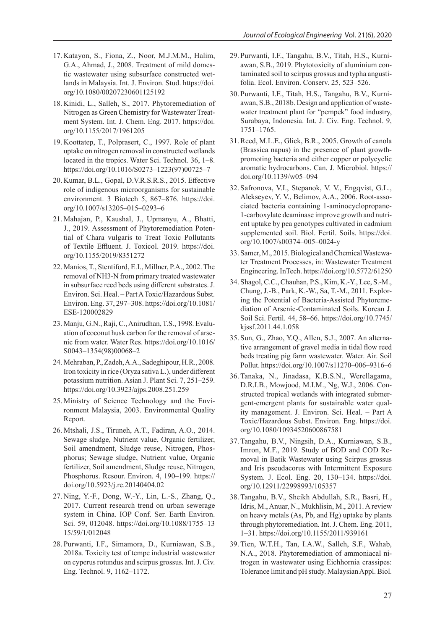- 17. Katayon, S., Fiona, Z., Noor, M.J.M.M., Halim, G.A., Ahmad, J., 2008. Treatment of mild domestic wastewater using subsurface constructed wetlands in Malaysia. Int. J. Environ. Stud. https://doi. org/10.1080/00207230601125192
- 18. Kinidi, L., Salleh, S., 2017. Phytoremediation of Nitrogen as Green Chemistry for Wastewater Treatment System. Int. J. Chem. Eng. 2017. https://doi. org/10.1155/2017/1961205
- 19. Koottatep, T., Polprasert, C., 1997. Role of plant uptake on nitrogen removal in constructed wetlands located in the tropics. Water Sci. Technol. 36, 1–8. https://doi.org/10.1016/S0273–1223(97)00725–7
- 20. Kumar, B.L., Gopal, D.V.R.S.R.S., 2015. Effective role of indigenous microorganisms for sustainable environment. 3 Biotech 5, 867–876. https://doi. org/10.1007/s13205–015–0293–6
- 21. Mahajan, P., Kaushal, J., Upmanyu, A., Bhatti, J., 2019. Assessment of Phytoremediation Potential of Chara vulgaris to Treat Toxic Pollutants of Textile Effluent. J. Toxicol. 2019. https://doi. org/10.1155/2019/8351272
- 22. Manios, T., Stentiford, E.I., Millner, P.A., 2002. The removal of NH3-N from primary treated wastewater in subsurface reed beds using different substrates. J. Environ. Sci. Heal. – Part A Toxic/Hazardous Subst. Environ. Eng. 37, 297–308. https://doi.org/10.1081/ ESE-120002829
- 23. Manju, G.N., Raji, C., Anirudhan, T.S., 1998. Evaluation of coconut husk carbon for the removal of arsenic from water. Water Res. https://doi.org/10.1016/ S0043–1354(98)00068–2
- 24. Mehraban, P., Zadeh, A.A., Sadeghipour, H.R., 2008. Iron toxicity in rice (Oryza sativa L.), under different potassium nutrition. Asian J. Plant Sci. 7, 251–259. https://doi.org/10.3923/ajps.2008.251.259
- 25. Ministry of Science Technology and the Environment Malaysia, 2003. Environmental Quality Report.
- 26. Mtshali, J.S., Tiruneh, A.T., Fadiran, A.O., 2014. Sewage sludge, Nutrient value, Organic fertilizer, Soil amendment, Sludge reuse, Nitrogen, Phosphorus; Sewage sludge, Nutrient value, Organic fertilizer, Soil amendment, Sludge reuse, Nitrogen, Phosphorus. Resour. Environ. 4, 190–199. https:// doi.org/10.5923/j.re.20140404.02
- 27. Ning, Y.-F., Dong, W.-Y., Lin, L.-S., Zhang, Q., 2017. Current research trend on urban sewerage system in China. IOP Conf. Ser. Earth Environ. Sci. 59, 012048. https://doi.org/10.1088/1755–13 15/59/1/012048
- 28. Purwanti, I.F., Simamora, D., Kurniawan, S.B., 2018a. Toxicity test of tempe industrial wastewater on cyperus rotundus and scirpus grossus. Int. J. Civ. Eng. Technol. 9, 1162–1172.
- 29. Purwanti, I.F., Tangahu, B.V., Titah, H.S., Kurniawan, S.B., 2019. Phytotoxicity of aluminium contaminated soil to scirpus grossus and typha angustifolia. Ecol. Environ. Conserv. 25, 523–526.
- 30. Purwanti, I.F., Titah, H.S., Tangahu, B.V., Kurniawan, S.B., 2018b. Design and application of wastewater treatment plant for "pempek" food industry, Surabaya, Indonesia. Int. J. Civ. Eng. Technol. 9, 1751–1765.
- 31. Reed, M.L.E., Glick, B.R., 2005. Growth of canola (Brassica napus) in the presence of plant growthpromoting bacteria and either copper or polycyclic aromatic hydrocarbons. Can. J. Microbiol. https:// doi.org/10.1139/w05–094
- 32. Safronova, V.I., Stepanok, V. V., Engqvist, G.L., Alekseyev, Y. V., Belimov, A.A., 2006. Root-associated bacteria containing 1-aminocyclopropane-1-carboxylate deaminase improve growth and nutrient uptake by pea genotypes cultivated in cadmium supplemented soil. Biol. Fertil. Soils. https://doi. org/10.1007/s00374–005–0024-y
- 33. Samer, M., 2015. Biological and Chemical Wastewater Treatment Processes, in: Wastewater Treatment Engineering. InTech. https://doi.org/10.5772/61250
- 34. Shagol, C.C., Chauhan, P.S., Kim, K.-Y., Lee, S.-M., Chung, J.-B., Park, K.-W., Sa, T.-M., 2011. Exploring the Potential of Bacteria-Assisted Phytoremediation of Arsenic-Contaminated Soils. Korean J. Soil Sci. Fertil. 44, 58–66. https://doi.org/10.7745/ kjssf.2011.44.1.058
- 35. Sun, G., Zhao, Y.Q., Allen, S.J., 2007. An alternative arrangement of gravel media in tidal flow reed beds treating pig farm wastewater. Water. Air. Soil Pollut. https://doi.org/10.1007/s11270–006–9316–6
- 36. Tanaka, N., Jinadasa, K.B.S.N., Werellagama, D.R.I.B., Mowjood, M.I.M., Ng, W.J., 2006. Constructed tropical wetlands with integrated submergent-emergent plants for sustainable water quality management. J. Environ. Sci. Heal. – Part A Toxic/Hazardous Subst. Environ. Eng. https://doi. org/10.1080/10934520600867581
- 37. Tangahu, B.V., Ningsih, D.A., Kurniawan, S.B., Imron, M.F., 2019. Study of BOD and COD Removal in Batik Wastewater using Scirpus grossus and Iris pseudacorus with Intermittent Exposure System. J. Ecol. Eng. 20, 130–134. https://doi. org/10.12911/22998993/105357
- 38. Tangahu, B.V., Sheikh Abdullah, S.R., Basri, H., Idris, M., Anuar, N., Mukhlisin, M., 2011. A review on heavy metals (As, Pb, and Hg) uptake by plants through phytoremediation. Int. J. Chem. Eng. 2011, 1–31. https://doi.org/10.1155/2011/939161
- 39. Tien, W.T.H., Tan, I.A.W., Salleh, S.F., Wahab, N.A., 2018. Phytoremediation of ammoniacal nitrogen in wastewater using Eichhornia crassipes: Tolerance limit and pH study. Malaysian Appl. Biol.